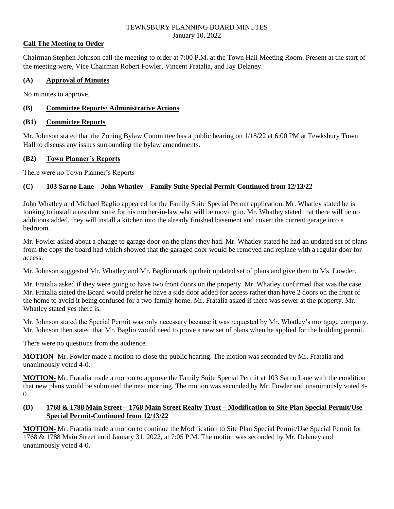#### TEWKSBURY PLANNING BOARD MINUTES January 10, 2022

## **Call The Meeting to Order**

Chairman Stephen Johnson call the meeting to order at 7:00 P.M. at the Town Hall Meeting Room. Present at the start of the meeting were, Vice Chairman Robert Fowler, Vincent Fratalia, and Jay Delaney.

# **(A) Approval of Minutes**

No minutes to approve.

# **(B) Committee Reports/ Administrative Actions**

## **(B1) Committee Reports**

Mr. Johnson stated that the Zoning Bylaw Committee has a public hearing on 1/18/22 at 6:00 PM at Tewksbury Town Hall to discuss any issues surrounding the bylaw amendments.

## **(B2) Town Planner's Reports**

There were no Town Planner's Reports

# **(C) 103 Sarno Lane – John Whatley – Family Suite Special Permit-Continued from 12/13/22**

John Whatley and Michael Baglio appeared for the Family Suite Special Permit application. Mr. Whatley stated he is looking to install a resident suite for his mother-in-law who will be moving in. Mr. Whatley stated that there will be no additions added, they will install a kitchen into the already finished basement and covert the current garage into a bedroom.

Mr. Fowler asked about a change to garage door on the plans they had. Mr. Whatley stated he had an updated set of plans from the copy the board had which showed that the garaged door would be removed and replace with a regular door for access.

Mr. Johnson suggested Mr. Whatley and Mr. Baglio mark up their updated set of plans and give them to Ms. Lowder.

Mr. Fratalia asked if they were going to have two front doors on the property. Mr. Whatley confirmed that was the case. Mr. Fratalia stated the Board would prefer he have a side door added for access rather than have 2 doors on the front of the home to avoid it being confused for a two-family home. Mr. Fratalia asked if there was sewer at the property. Mr. Whatley stated yes there is.

Mr. Johnson stated the Special Permit was only necessary because it was requested by Mr. Whatley's mortgage company. Mr. Johnson then stated that Mr. Baglio would need to prove a new set of plans when he applied for the building permit.

There were no questions from the audience.

**MOTION-** Mr. Fowler made a motion to close the public hearing. The motion was seconded by Mr. Fratalia and unanimously voted 4-0.

**MOTION-** Mr. Fratalia made a motion to approve the Family Suite Special Permit at 103 Sarno Lane with the condition that new plans would be submitted the next morning. The motion was seconded by Mr. Fowler and unanimously voted 4-  $\Omega$ 

## **(D) 1768 & 1788 Main Street – 1768 Main Street Realty Trust – Modification to Site Plan Special Permit/Use Special Permit-Continued from 12/13/22**

**MOTION-** Mr. Fratalia made a motion to continue the Modification to Site Plan Special Permit/Use Special Permit for 1768 & 1788 Main Street until January 31, 2022, at 7:05 P.M. The motion was seconded by Mr. Delaney and unanimously voted 4-0.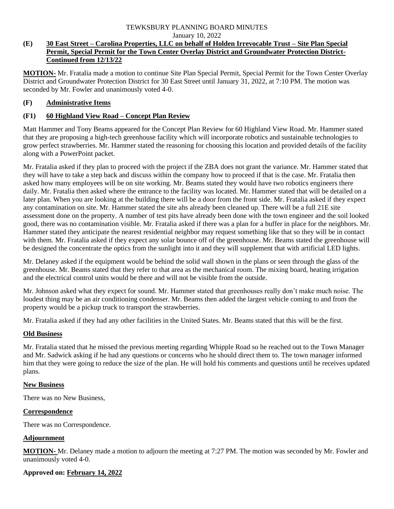# TEWKSBURY PLANNING BOARD MINUTES

January 10, 2022

## **(E) 30 East Street – Carolina Properties, LLC on behalf of Holden Irrevocable Trust – Site Plan Special Permit, Special Permit for the Town Center Overlay District and Groundwater Protection District-Continued from 12/13/22**

**MOTION-** Mr. Fratalia made a motion to continue Site Plan Special Permit, Special Permit for the Town Center Overlay District and Groundwater Protection District for 30 East Street until January 31, 2022, at 7:10 PM. The motion was seconded by Mr. Fowler and unanimously voted 4-0.

# **(F) Administrative Items**

# **(F1) 60 Highland View Road – Concept Plan Review**

Matt Hammer and Tony Beams appeared for the Concept Plan Review for 60 Highland View Road. Mr. Hammer stated that they are proposing a high-tech greenhouse facility which will incorporate robotics and sustainable technologies to grow perfect strawberries. Mr. Hammer stated the reasoning for choosing this location and provided details of the facility along with a PowerPoint packet.

Mr. Fratalia asked if they plan to proceed with the project if the ZBA does not grant the variance. Mr. Hammer stated that they will have to take a step back and discuss within the company how to proceed if that is the case. Mr. Fratalia then asked how many employees will be on site working. Mr. Beams stated they would have two robotics engineers there daily. Mr. Fratalia then asked where the entrance to the facility was located. Mr. Hammer stated that will be detailed on a later plan. When you are looking at the building there will be a door from the front side. Mr. Fratalia asked if they expect any contamination on site. Mr. Hammer stated the site ahs already been cleaned up. There will be a full 21E site assessment done on the property. A number of test pits have already been done with the town engineer and the soil looked good, there was no contamination visible. Mr. Fratalia asked if there was a plan for a buffer in place for the neighbors. Mr. Hammer stated they anticipate the nearest residential neighbor may request something like that so they will be in contact with them. Mr. Fratalia asked if they expect any solar bounce off of the greenhouse. Mr. Beams stated the greenhouse will be designed the concentrate the optics from the sunlight into it and they will supplement that with artificial LED lights.

Mr. Delaney asked if the equipment would be behind the solid wall shown in the plans or seen through the glass of the greenhouse. Mr. Beams stated that they refer to that area as the mechanical room. The mixing board, heating irrigation and the electrical control units would be there and will not be visible from the outside.

Mr. Johnson asked what they expect for sound. Mr. Hammer stated that greenhouses really don't make much noise. The loudest thing may be an air conditioning condenser. Mr. Beams then added the largest vehicle coming to and from the property would be a pickup truck to transport the strawberries.

Mr. Fratalia asked if they had any other facilities in the United States. Mr. Beams stated that this will be the first.

# **Old Business**

Mr. Fratalia stated that he missed the previous meeting regarding Whipple Road so he reached out to the Town Manager and Mr. Sadwick asking if he had any questions or concerns who he should direct them to. The town manager informed him that they were going to reduce the size of the plan. He will hold his comments and questions until he receives updated plans.

#### **New Business**

There was no New Business,

# **Correspondence**

There was no Correspondence.

# **Adjournment**

**MOTION-** Mr. Delaney made a motion to adjourn the meeting at 7:27 PM. The motion was seconded by Mr. Fowler and unanimously voted 4-0.

# **Approved on: February 14, 2022**